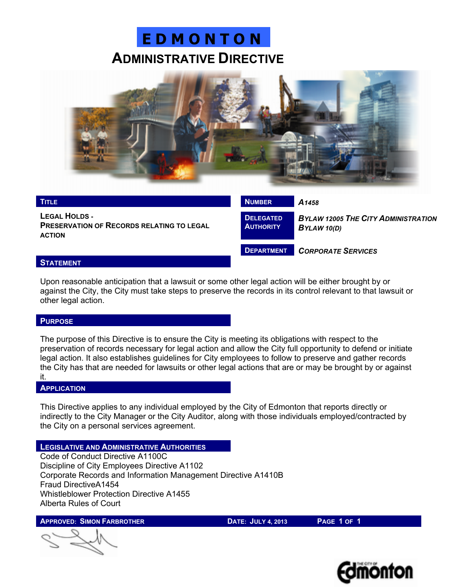# **E D M O N T O N ADMINISTRATIVE DIRECTIVE**



| <b>TITLE</b>                                                                              | <b>NUMBER</b>                        | A <sub>1458</sub>                                         |
|-------------------------------------------------------------------------------------------|--------------------------------------|-----------------------------------------------------------|
| <b>LEGAL HOLDS -</b><br><b>PRESERVATION OF RECORDS RELATING TO LEGAL</b><br><b>ACTION</b> | <b>DELEGATED</b><br><b>AUTHORITY</b> | <b>BYLAW 12005 THE CITY ADMINISTRATION</b><br>BYLAW 10(D) |
|                                                                                           | <b>DEPARTMENT</b>                    | <b>CORPORATE SERVICES</b>                                 |
| <b>A</b> — - ——- - —- -                                                                   |                                      |                                                           |

### **STATEMENT**

Upon reasonable anticipation that a lawsuit or some other legal action will be either brought by or against the City, the City must take steps to preserve the records in its control relevant to that lawsuit or other legal action.

## **PURPOSE**

The purpose of this Directive is to ensure the City is meeting its obligations with respect to the preservation of records necessary for legal action and allow the City full opportunity to defend or initiate legal action. It also establishes guidelines for City employees to follow to preserve and gather records the City has that are needed for lawsuits or other legal actions that are or may be brought by or against it.

#### **APPLICATION**

This Directive applies to any individual employed by the City of Edmonton that reports directly or indirectly to the City Manager or the City Auditor, along with those individuals employed/contracted by the City on a personal services agreement.

## **LEGISLATIVE AND ADMINISTRATIVE AUTHORITIES**

Code of Conduct Directive A1100C Discipline of City Employees Directive A1102 Corporate Records and Information Management Directive A1410B Fraud DirectiveA1454 Whistleblower Protection Directive A1455 Alberta Rules of Court

**APPROVED: SIMON FARBROTHER DATE: JULY 4, 2013 PAGE 1 OF 1**